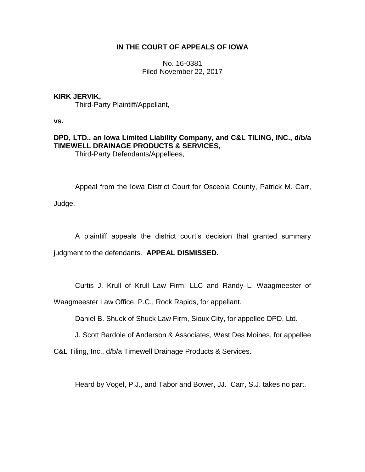# **IN THE COURT OF APPEALS OF IOWA**

No. 16-0381 Filed November 22, 2017

## **KIRK JERVIK,**

Third-Party Plaintiff/Appellant,

**vs.**

# **DPD, LTD., an Iowa Limited Liability Company, and C&L TILING, INC., d/b/a TIMEWELL DRAINAGE PRODUCTS & SERVICES,** Third-Party Defendants/Appellees,

\_\_\_\_\_\_\_\_\_\_\_\_\_\_\_\_\_\_\_\_\_\_\_\_\_\_\_\_\_\_\_\_\_\_\_\_\_\_\_\_\_\_\_\_\_\_\_\_\_\_\_\_\_\_\_\_\_\_\_\_\_\_\_\_

Appeal from the Iowa District Court for Osceola County, Patrick M. Carr, Judge.

A plaintiff appeals the district court's decision that granted summary judgment to the defendants. **APPEAL DISMISSED.**

Curtis J. Krull of Krull Law Firm, LLC and Randy L. Waagmeester of

Waagmeester Law Office, P.C., Rock Rapids, for appellant.

Daniel B. Shuck of Shuck Law Firm, Sioux City, for appellee DPD, Ltd.

J. Scott Bardole of Anderson & Associates, West Des Moines, for appellee

C&L Tiling, Inc., d/b/a Timewell Drainage Products & Services.

Heard by Vogel, P.J., and Tabor and Bower, JJ. Carr, S.J. takes no part.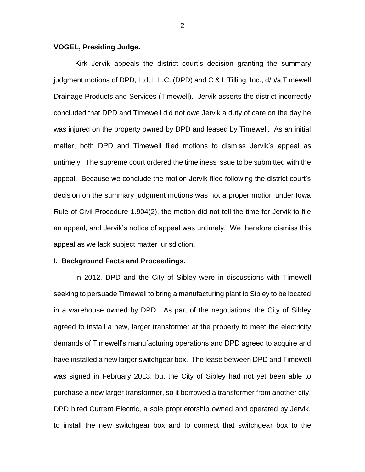### **VOGEL, Presiding Judge.**

Kirk Jervik appeals the district court's decision granting the summary judgment motions of DPD, Ltd, L.L.C. (DPD) and C & L Tilling, Inc., d/b/a Timewell Drainage Products and Services (Timewell). Jervik asserts the district incorrectly concluded that DPD and Timewell did not owe Jervik a duty of care on the day he was injured on the property owned by DPD and leased by Timewell. As an initial matter, both DPD and Timewell filed motions to dismiss Jervik's appeal as untimely. The supreme court ordered the timeliness issue to be submitted with the appeal. Because we conclude the motion Jervik filed following the district court's decision on the summary judgment motions was not a proper motion under Iowa Rule of Civil Procedure 1.904(2), the motion did not toll the time for Jervik to file an appeal, and Jervik's notice of appeal was untimely. We therefore dismiss this appeal as we lack subject matter jurisdiction.

### **I. Background Facts and Proceedings.**

In 2012, DPD and the City of Sibley were in discussions with Timewell seeking to persuade Timewell to bring a manufacturing plant to Sibley to be located in a warehouse owned by DPD. As part of the negotiations, the City of Sibley agreed to install a new, larger transformer at the property to meet the electricity demands of Timewell's manufacturing operations and DPD agreed to acquire and have installed a new larger switchgear box. The lease between DPD and Timewell was signed in February 2013, but the City of Sibley had not yet been able to purchase a new larger transformer, so it borrowed a transformer from another city. DPD hired Current Electric, a sole proprietorship owned and operated by Jervik, to install the new switchgear box and to connect that switchgear box to the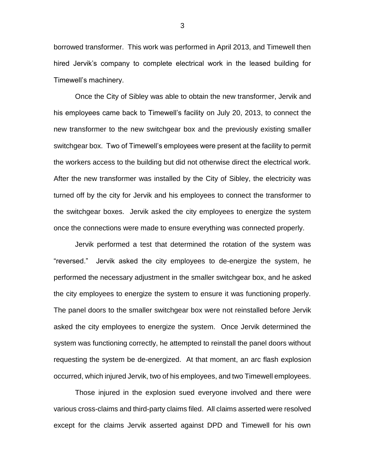borrowed transformer. This work was performed in April 2013, and Timewell then hired Jervik's company to complete electrical work in the leased building for Timewell's machinery.

Once the City of Sibley was able to obtain the new transformer, Jervik and his employees came back to Timewell's facility on July 20, 2013, to connect the new transformer to the new switchgear box and the previously existing smaller switchgear box. Two of Timewell's employees were present at the facility to permit the workers access to the building but did not otherwise direct the electrical work. After the new transformer was installed by the City of Sibley, the electricity was turned off by the city for Jervik and his employees to connect the transformer to the switchgear boxes. Jervik asked the city employees to energize the system once the connections were made to ensure everything was connected properly.

Jervik performed a test that determined the rotation of the system was "reversed." Jervik asked the city employees to de-energize the system, he performed the necessary adjustment in the smaller switchgear box, and he asked the city employees to energize the system to ensure it was functioning properly. The panel doors to the smaller switchgear box were not reinstalled before Jervik asked the city employees to energize the system. Once Jervik determined the system was functioning correctly, he attempted to reinstall the panel doors without requesting the system be de-energized. At that moment, an arc flash explosion occurred, which injured Jervik, two of his employees, and two Timewell employees.

Those injured in the explosion sued everyone involved and there were various cross-claims and third-party claims filed. All claims asserted were resolved except for the claims Jervik asserted against DPD and Timewell for his own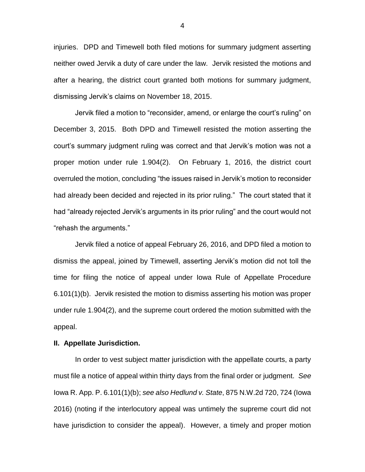injuries. DPD and Timewell both filed motions for summary judgment asserting neither owed Jervik a duty of care under the law. Jervik resisted the motions and after a hearing, the district court granted both motions for summary judgment, dismissing Jervik's claims on November 18, 2015.

Jervik filed a motion to "reconsider, amend, or enlarge the court's ruling" on December 3, 2015. Both DPD and Timewell resisted the motion asserting the court's summary judgment ruling was correct and that Jervik's motion was not a proper motion under rule 1.904(2). On February 1, 2016, the district court overruled the motion, concluding "the issues raised in Jervik's motion to reconsider had already been decided and rejected in its prior ruling." The court stated that it had "already rejected Jervik's arguments in its prior ruling" and the court would not "rehash the arguments."

Jervik filed a notice of appeal February 26, 2016, and DPD filed a motion to dismiss the appeal, joined by Timewell, asserting Jervik's motion did not toll the time for filing the notice of appeal under Iowa Rule of Appellate Procedure 6.101(1)(b). Jervik resisted the motion to dismiss asserting his motion was proper under rule 1.904(2), and the supreme court ordered the motion submitted with the appeal.

#### **II. Appellate Jurisdiction.**

In order to vest subject matter jurisdiction with the appellate courts, a party must file a notice of appeal within thirty days from the final order or judgment. *See*  Iowa R. App. P. 6.101(1)(b); *see also Hedlund v. State*, 875 N.W.2d 720, 724 (Iowa 2016) (noting if the interlocutory appeal was untimely the supreme court did not have jurisdiction to consider the appeal). However, a timely and proper motion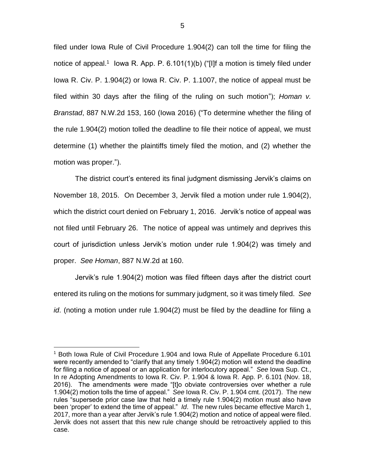filed under Iowa Rule of Civil Procedure 1.904(2) can toll the time for filing the notice of appeal.<sup>1</sup> lowa R. App. P. 6.101(1)(b) ("[I]f a motion is timely filed under Iowa R. Civ. P. 1.904(2) or Iowa R. Civ. P. 1.1007, the notice of appeal must be filed within 30 days after the filing of the ruling on such motion"); *Homan v. Branstad*, 887 N.W.2d 153, 160 (Iowa 2016) ("To determine whether the filing of the rule 1.904(2) motion tolled the deadline to file their notice of appeal, we must determine (1) whether the plaintiffs timely filed the motion, and (2) whether the motion was proper.").

The district court's entered its final judgment dismissing Jervik's claims on November 18, 2015. On December 3, Jervik filed a motion under rule 1.904(2), which the district court denied on February 1, 2016. Jervik's notice of appeal was not filed until February 26. The notice of appeal was untimely and deprives this court of jurisdiction unless Jervik's motion under rule 1.904(2) was timely and proper. *See Homan*, 887 N.W.2d at 160.

Jervik's rule 1.904(2) motion was filed fifteen days after the district court entered its ruling on the motions for summary judgment, so it was timely filed. *See id*. (noting a motion under rule 1.904(2) must be filed by the deadline for filing a

 $\overline{a}$ 

<sup>1</sup> Both Iowa Rule of Civil Procedure 1.904 and Iowa Rule of Appellate Procedure 6.101 were recently amended to "clarify that any timely 1.904(2) motion will extend the deadline for filing a notice of appeal or an application for interlocutory appeal." *See* Iowa Sup. Ct., In re Adopting Amendments to Iowa R. Civ. P. 1.904 & Iowa R. App. P. 6.101 (Nov. 18, 2016). The amendments were made "[t]o obviate controversies over whether a rule 1.904(2) motion tolls the time of appeal." *See* Iowa R. Civ. P. 1.904 cmt. (2017). The new rules "supersede prior case law that held a timely rule 1.904(2) motion must also have been 'proper' to extend the time of appeal." *Id*. The new rules became effective March 1, 2017, more than a year after Jervik's rule 1.904(2) motion and notice of appeal were filed. Jervik does not assert that this new rule change should be retroactively applied to this case.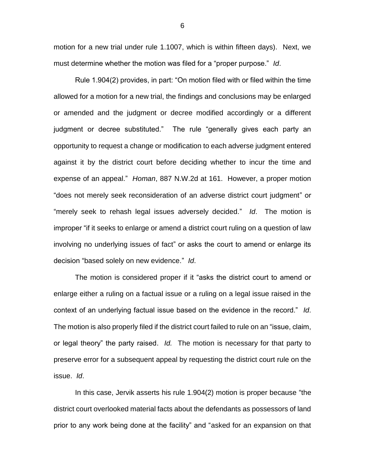motion for a new trial under rule 1.1007, which is within fifteen days). Next, we must determine whether the motion was filed for a "proper purpose." *Id*.

Rule 1.904(2) provides, in part: "On motion filed with or filed within the time allowed for a motion for a new trial, the findings and conclusions may be enlarged or amended and the judgment or decree modified accordingly or a different judgment or decree substituted." The rule "generally gives each party an opportunity to request a change or modification to each adverse judgment entered against it by the district court before deciding whether to incur the time and expense of an appeal." *Homan*, 887 N.W.2d at 161. However, a proper motion "does not merely seek reconsideration of an adverse district court judgment" or "merely seek to rehash legal issues adversely decided." *Id*. The motion is improper "if it seeks to enlarge or amend a district court ruling on a question of law involving no underlying issues of fact" or asks the court to amend or enlarge its decision "based solely on new evidence." *Id*.

The motion is considered proper if it "asks the district court to amend or enlarge either a ruling on a factual issue or a ruling on a legal issue raised in the context of an underlying factual issue based on the evidence in the record." *Id*. The motion is also properly filed if the district court failed to rule on an "issue, claim, or legal theory" the party raised. *Id.* The motion is necessary for that party to preserve error for a subsequent appeal by requesting the district court rule on the issue. *Id*.

In this case, Jervik asserts his rule 1.904(2) motion is proper because "the district court overlooked material facts about the defendants as possessors of land prior to any work being done at the facility" and "asked for an expansion on that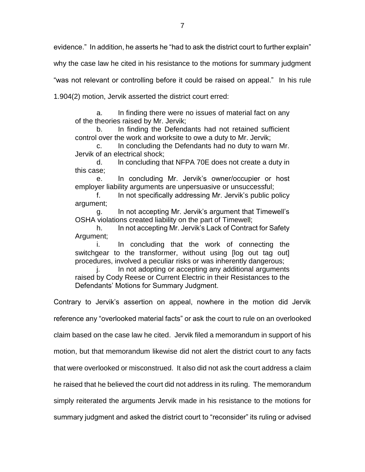evidence." In addition, he asserts he "had to ask the district court to further explain"

why the case law he cited in his resistance to the motions for summary judgment

"was not relevant or controlling before it could be raised on appeal." In his rule

1.904(2) motion, Jervik asserted the district court erred:

a. In finding there were no issues of material fact on any of the theories raised by Mr. Jervik;

b. In finding the Defendants had not retained sufficient control over the work and worksite to owe a duty to Mr. Jervik;

c. In concluding the Defendants had no duty to warn Mr. Jervik of an electrical shock;

d. ln concluding that NFPA 70E does not create a duty in this case;

e. In concluding Mr. Jervik's owner/occupier or host employer liability arguments are unpersuasive or unsuccessful;

f. In not specifically addressing Mr. Jervik's public policy argument;

g. In not accepting Mr. Jervik's argument that Timewell's OSHA violations created liability on the part of Timewell;

h. In not accepting Mr. Jervik's Lack of Contract for Safety Argument;

i. In concluding that the work of connecting the switchgear to the transformer, without using [log out tag out] procedures, involved a peculiar risks or was inherently dangerous;

In not adopting or accepting any additional arguments raised by Cody Reese or Current Electric in their Resistances to the Defendants' Motions for Summary Judgment.

Contrary to Jervik's assertion on appeal, nowhere in the motion did Jervik

reference any "overlooked material facts" or ask the court to rule on an overlooked

claim based on the case law he cited. Jervik filed a memorandum in support of his

motion, but that memorandum likewise did not alert the district court to any facts

that were overlooked or misconstrued. It also did not ask the court address a claim

he raised that he believed the court did not address in its ruling. The memorandum

simply reiterated the arguments Jervik made in his resistance to the motions for

summary judgment and asked the district court to "reconsider" its ruling or advised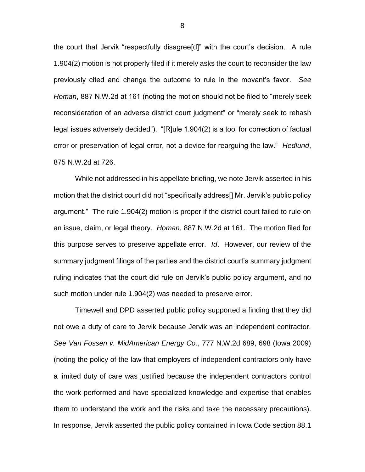the court that Jervik "respectfully disagree[d]" with the court's decision. A rule 1.904(2) motion is not properly filed if it merely asks the court to reconsider the law previously cited and change the outcome to rule in the movant's favor. *See Homan*, 887 N.W.2d at 161 (noting the motion should not be filed to "merely seek reconsideration of an adverse district court judgment" or "merely seek to rehash legal issues adversely decided"). "[R]ule 1.904(2) is a tool for correction of factual error or preservation of legal error, not a device for rearguing the law." *Hedlund*, 875 N.W.2d at 726.

While not addressed in his appellate briefing, we note Jervik asserted in his motion that the district court did not "specifically address[] Mr. Jervik's public policy argument." The rule 1.904(2) motion is proper if the district court failed to rule on an issue, claim, or legal theory. *Homan*, 887 N.W.2d at 161. The motion filed for this purpose serves to preserve appellate error. *Id*. However, our review of the summary judgment filings of the parties and the district court's summary judgment ruling indicates that the court did rule on Jervik's public policy argument, and no such motion under rule 1.904(2) was needed to preserve error.

Timewell and DPD asserted public policy supported a finding that they did not owe a duty of care to Jervik because Jervik was an independent contractor. *See Van Fossen v. MidAmerican Energy Co.*, 777 N.W.2d 689, 698 (Iowa 2009) (noting the policy of the law that employers of independent contractors only have a limited duty of care was justified because the independent contractors control the work performed and have specialized knowledge and expertise that enables them to understand the work and the risks and take the necessary precautions). In response, Jervik asserted the public policy contained in Iowa Code section 88.1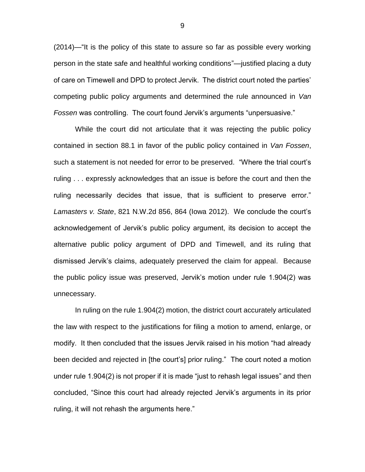(2014)—"It is the policy of this state to assure so far as possible every working person in the state safe and healthful working conditions"—justified placing a duty of care on Timewell and DPD to protect Jervik. The district court noted the parties' competing public policy arguments and determined the rule announced in *Van Fossen* was controlling. The court found Jervik's arguments "unpersuasive."

While the court did not articulate that it was rejecting the public policy contained in section 88.1 in favor of the public policy contained in *Van Fossen*, such a statement is not needed for error to be preserved. "Where the trial court's ruling . . . expressly acknowledges that an issue is before the court and then the ruling necessarily decides that issue, that is sufficient to preserve error." *Lamasters v. State*, 821 N.W.2d 856, 864 (Iowa 2012). We conclude the court's acknowledgement of Jervik's public policy argument, its decision to accept the alternative public policy argument of DPD and Timewell, and its ruling that dismissed Jervik's claims, adequately preserved the claim for appeal. Because the public policy issue was preserved, Jervik's motion under rule 1.904(2) was unnecessary.

In ruling on the rule 1.904(2) motion, the district court accurately articulated the law with respect to the justifications for filing a motion to amend, enlarge, or modify. It then concluded that the issues Jervik raised in his motion "had already been decided and rejected in [the court's] prior ruling." The court noted a motion under rule 1.904(2) is not proper if it is made "just to rehash legal issues" and then concluded, "Since this court had already rejected Jervik's arguments in its prior ruling, it will not rehash the arguments here."